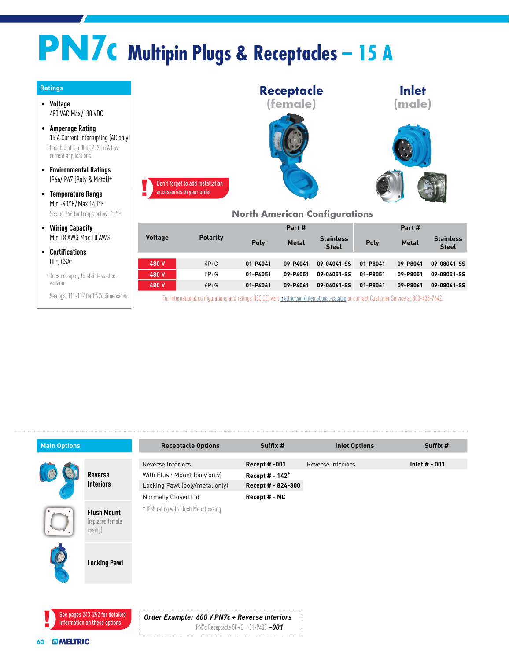## **PN7c Multipin Plugs & Receptacles – 15 A**

| <b>Ratings</b> |  |
|----------------|--|
|                |  |

- **Voltage** 480 VAC Max /130 VDC
- **Amperage Rating** 15 A Current Interrupting (AC only) ! Capable of handling 4-20 mA low current applications.
- **Environmental Ratings** IP66/IP67 (Poly & Metal)<sup>+</sup>

• **Temperature Range** Min -40°F/Max 140°F See pg 266 for temps below -15°F.

- **Wiring Capacity** Min 18 AWG Max 10 AWG
- **Certifications** UL+ , CSA+
- <sup>+</sup>Does not apply to stainless steel version.

See pgs. 111-112 for PN7c dimensions.



## **North American Configurations**

|                |                 | Part #   |              | Part #                           |          |              |                                  |
|----------------|-----------------|----------|--------------|----------------------------------|----------|--------------|----------------------------------|
| <b>Voltage</b> | <b>Polarity</b> | Poly     | <b>Metal</b> | <b>Stainless</b><br><b>Steel</b> | Poly     | <b>Metal</b> | <b>Stainless</b><br><b>Steel</b> |
|                |                 |          |              |                                  |          |              |                                  |
| 480 V          | $4P+G$          | 01-P4041 | 09-P4041     | 09-04041-SS                      | 01-P8041 | 09-P8041     | 09-08041-SS                      |
| 480 V          | $5P+G$          | 01-P4051 | 09-P4051     | 09-04051-SS                      | 01-P8051 | 09-P8051     | 09-08051-SS                      |
| 480 V          | $6P + G$        | 01-P4061 | 09-P4061     | 09-04061-SS                      | 01-P8061 | 09-P8061     | 09-08061-SS                      |
|                |                 |          |              |                                  |          |              |                                  |

For international configurations and ratings (IEC,CE) visit [meltric.com/international-catalog](https://meltric.com/media/contentmanager/content/MARECHAL_Full_Catalogue_EN_1.pdf) or contact Customer Service at 800-433-7642.

|  |                                                    | <b>Receptacle Options</b>              | Suffix #                    | <b>Inlet Options</b> | Suffix #      |
|--|----------------------------------------------------|----------------------------------------|-----------------------------|----------------------|---------------|
|  |                                                    | Reverse Interiors                      | <b>Recept #-001</b>         | Reverse Interiors    | Inlet # - 001 |
|  | Reverse<br><b>Interiors</b>                        | With Flush Mount (poly only)           | Recept # - 142 <sup>+</sup> |                      |               |
|  |                                                    | Locking Pawl (poly/metal only)         | Recept # - 824-300          |                      |               |
|  |                                                    | Normally Closed Lid                    | Recept # - NC               |                      |               |
|  | <b>Flush Mount</b><br>(replaces female)<br>casing) | * IP55 rating with Flush Mount casing. |                             |                      |               |
|  | <b>Locking Pawl</b>                                |                                        |                             |                      |               |